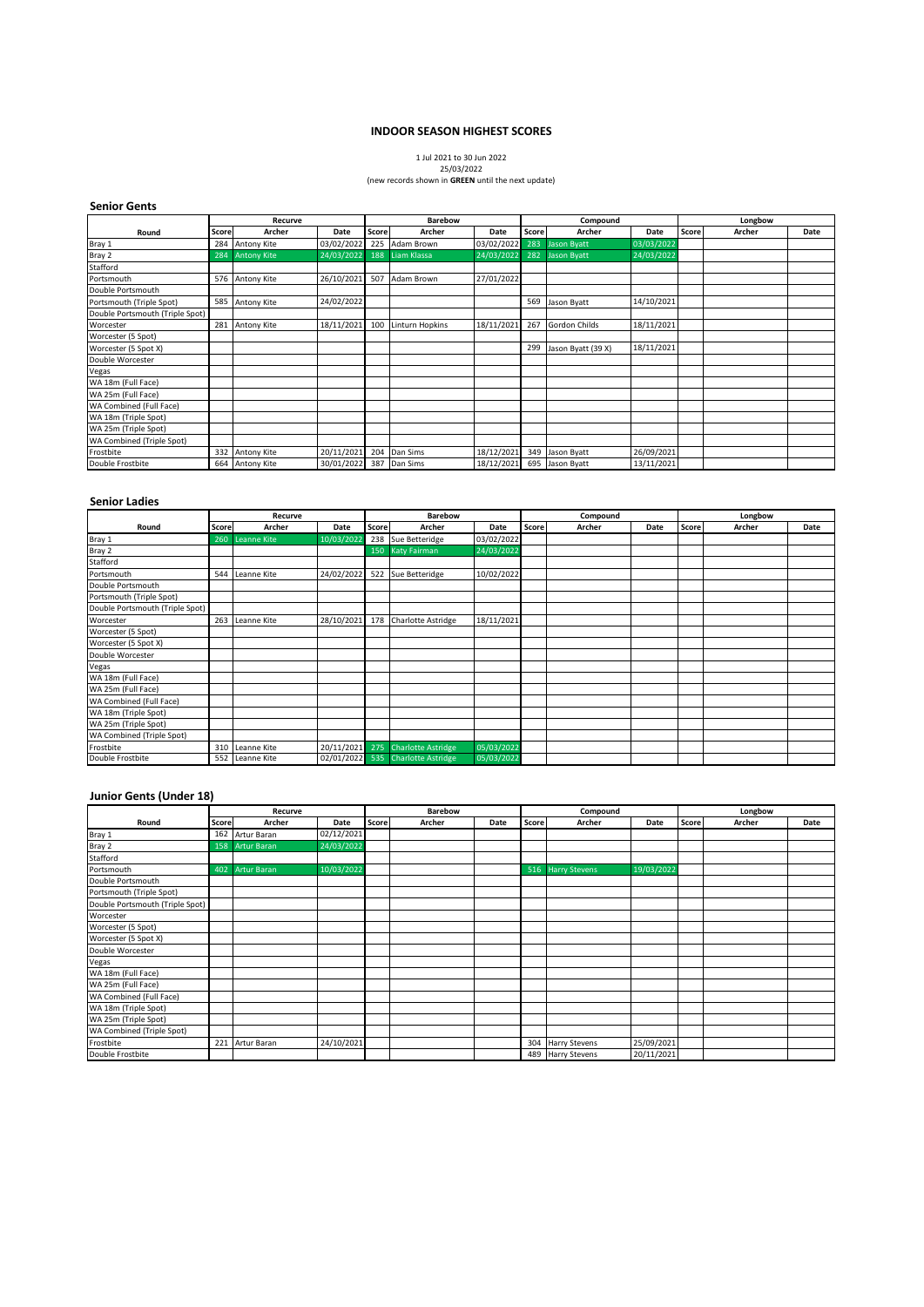#### **INDOOR SEASON HIGHEST SCORES**

# 1 Jul 2021 to 30 Jun 2022 25/03/2022

#### (new records shown in **GREEN** until the next update)

## **Senior Gents**

|                                 | Recurve |                    |            | <b>Barebow</b> |                        | Compound   |       |                    | Longbow    |       |        |      |
|---------------------------------|---------|--------------------|------------|----------------|------------------------|------------|-------|--------------------|------------|-------|--------|------|
| Round                           | Score   | Archer             | Date       | Score          | Archer                 | Date       | Score | Archer             | Date       | Score | Archer | Date |
| Bray 1                          |         | 284 Antony Kite    | 03/02/2022 | 225            | Adam Brown             | 03/02/2022 | 283   | Jason Byatt        | 03/03/2022 |       |        |      |
| Bray 2                          | 284     | <b>Antony Kite</b> | 24/03/2022 | 188            | Liam Klassa            | 24/03/2022 |       | 282 Jason Byatt    | 24/03/2022 |       |        |      |
| Stafford                        |         |                    |            |                |                        |            |       |                    |            |       |        |      |
| Portsmouth                      |         | 576 Antony Kite    | 26/10/2021 | 507            | Adam Brown             | 27/01/2022 |       |                    |            |       |        |      |
| Double Portsmouth               |         |                    |            |                |                        |            |       |                    |            |       |        |      |
| Portsmouth (Triple Spot)        |         | 585 Antony Kite    | 24/02/2022 |                |                        |            |       | 569 Jason Byatt    | 14/10/2021 |       |        |      |
| Double Portsmouth (Triple Spot) |         |                    |            |                |                        |            |       |                    |            |       |        |      |
| Worcester                       | 281     | <b>Antony Kite</b> | 18/11/2021 | 100            | <b>Linturn Hopkins</b> | 18/11/2021 | 267   | Gordon Childs      | 18/11/2021 |       |        |      |
| Worcester (5 Spot)              |         |                    |            |                |                        |            |       |                    |            |       |        |      |
| Worcester (5 Spot X)            |         |                    |            |                |                        |            | 299   | Jason Byatt (39 X) | 18/11/2021 |       |        |      |
| Double Worcester                |         |                    |            |                |                        |            |       |                    |            |       |        |      |
| Vegas                           |         |                    |            |                |                        |            |       |                    |            |       |        |      |
| WA 18m (Full Face)              |         |                    |            |                |                        |            |       |                    |            |       |        |      |
| WA 25m (Full Face)              |         |                    |            |                |                        |            |       |                    |            |       |        |      |
| WA Combined (Full Face)         |         |                    |            |                |                        |            |       |                    |            |       |        |      |
| WA 18m (Triple Spot)            |         |                    |            |                |                        |            |       |                    |            |       |        |      |
| WA 25m (Triple Spot)            |         |                    |            |                |                        |            |       |                    |            |       |        |      |
| WA Combined (Triple Spot)       |         |                    |            |                |                        |            |       |                    |            |       |        |      |
| Frostbite                       |         | 332 Antony Kite    | 20/11/2021 | 204            | Dan Sims               | 18/12/2021 |       | 349 Jason Byatt    | 26/09/2021 |       |        |      |
| Double Frostbite                | 664     | Antony Kite        | 30/01/2022 | 387            | Dan Sims               | 18/12/2021 |       | 695 Jason Byatt    | 13/11/2021 |       |        |      |

#### **Senior Ladies**

|                                 | Recurve |                    |            |              | Barebow                           |            | Compound |        |      | Longbow |        |      |
|---------------------------------|---------|--------------------|------------|--------------|-----------------------------------|------------|----------|--------|------|---------|--------|------|
| Round                           | Score   | Archer             | Date       | <b>Score</b> | Archer                            | Date       | Score    | Archer | Date | Score   | Archer | Date |
| Bray 1                          | 260     | <b>Leanne Kite</b> | 10/03/2022 |              | 238 Sue Betteridge                | 03/02/2022 |          |        |      |         |        |      |
| Bray 2                          |         |                    |            |              | 150 Katy Fairman                  | 24/03/2022 |          |        |      |         |        |      |
| Stafford                        |         |                    |            |              |                                   |            |          |        |      |         |        |      |
| Portsmouth                      | 544     | Leanne Kite        | 24/02/2022 | 522          | Sue Betteridge                    | 10/02/2022 |          |        |      |         |        |      |
| Double Portsmouth               |         |                    |            |              |                                   |            |          |        |      |         |        |      |
| Portsmouth (Triple Spot)        |         |                    |            |              |                                   |            |          |        |      |         |        |      |
| Double Portsmouth (Triple Spot) |         |                    |            |              |                                   |            |          |        |      |         |        |      |
| Worcester                       | 263     | Leanne Kite        | 28/10/2021 |              | 178 Charlotte Astridge            | 18/11/2021 |          |        |      |         |        |      |
| Worcester (5 Spot)              |         |                    |            |              |                                   |            |          |        |      |         |        |      |
| Worcester (5 Spot X)            |         |                    |            |              |                                   |            |          |        |      |         |        |      |
| Double Worcester                |         |                    |            |              |                                   |            |          |        |      |         |        |      |
| Vegas                           |         |                    |            |              |                                   |            |          |        |      |         |        |      |
| WA 18m (Full Face)              |         |                    |            |              |                                   |            |          |        |      |         |        |      |
| WA 25m (Full Face)              |         |                    |            |              |                                   |            |          |        |      |         |        |      |
| WA Combined (Full Face)         |         |                    |            |              |                                   |            |          |        |      |         |        |      |
| WA 18m (Triple Spot)            |         |                    |            |              |                                   |            |          |        |      |         |        |      |
| WA 25m (Triple Spot)            |         |                    |            |              |                                   |            |          |        |      |         |        |      |
| WA Combined (Triple Spot)       |         |                    |            |              |                                   |            |          |        |      |         |        |      |
| Frostbite                       | 310     | Leanne Kite        |            |              | 20/11/2021 275 Charlotte Astridge | 05/03/2022 |          |        |      |         |        |      |
| Double Frostbite                |         | 552 Leanne Kite    |            |              | 02/01/2022 535 Charlotte Astridge | 05/03/2022 |          |        |      |         |        |      |

#### **Junior Gents (Under 18)**

|                                  | Recurve      |                    |            | <b>Barebow</b> |        |      | Compound |                   |            | Longbow |        |      |
|----------------------------------|--------------|--------------------|------------|----------------|--------|------|----------|-------------------|------------|---------|--------|------|
| Round                            | <b>Score</b> | Archer             | Date       | Score          | Archer | Date | Score    | Archer            | Date       | Score   | Archer | Date |
| Bray 1                           |              | 162 Artur Baran    | 02/12/2021 |                |        |      |          |                   |            |         |        |      |
| Bray 2                           | 158          | <b>Artur Baran</b> | 24/03/2022 |                |        |      |          |                   |            |         |        |      |
| Stafford                         |              |                    |            |                |        |      |          |                   |            |         |        |      |
| Portsmouth                       | 402          | <b>Artur Baran</b> | 10/03/2022 |                |        |      |          | 516 Harry Stevens | 19/03/2022 |         |        |      |
| Double Portsmouth                |              |                    |            |                |        |      |          |                   |            |         |        |      |
| Portsmouth (Triple Spot)         |              |                    |            |                |        |      |          |                   |            |         |        |      |
| Double Portsmouth (Triple Spot)  |              |                    |            |                |        |      |          |                   |            |         |        |      |
| Worcester                        |              |                    |            |                |        |      |          |                   |            |         |        |      |
| Worcester (5 Spot)               |              |                    |            |                |        |      |          |                   |            |         |        |      |
| Worcester (5 Spot X)             |              |                    |            |                |        |      |          |                   |            |         |        |      |
| Double Worcester                 |              |                    |            |                |        |      |          |                   |            |         |        |      |
| Vegas                            |              |                    |            |                |        |      |          |                   |            |         |        |      |
| WA 18m (Full Face)               |              |                    |            |                |        |      |          |                   |            |         |        |      |
| WA 25m (Full Face)               |              |                    |            |                |        |      |          |                   |            |         |        |      |
| WA Combined (Full Face)          |              |                    |            |                |        |      |          |                   |            |         |        |      |
| WA 18m (Triple Spot)             |              |                    |            |                |        |      |          |                   |            |         |        |      |
| WA 25m (Triple Spot)             |              |                    |            |                |        |      |          |                   |            |         |        |      |
| <b>WA Combined (Triple Spot)</b> |              |                    |            |                |        |      |          |                   |            |         |        |      |
| Frostbite                        | 221          | Artur Baran        | 24/10/2021 |                |        |      |          | 304 Harry Stevens | 25/09/2021 |         |        |      |
| Double Frostbite                 |              |                    |            |                |        |      |          | 489 Harry Stevens | 20/11/2021 |         |        |      |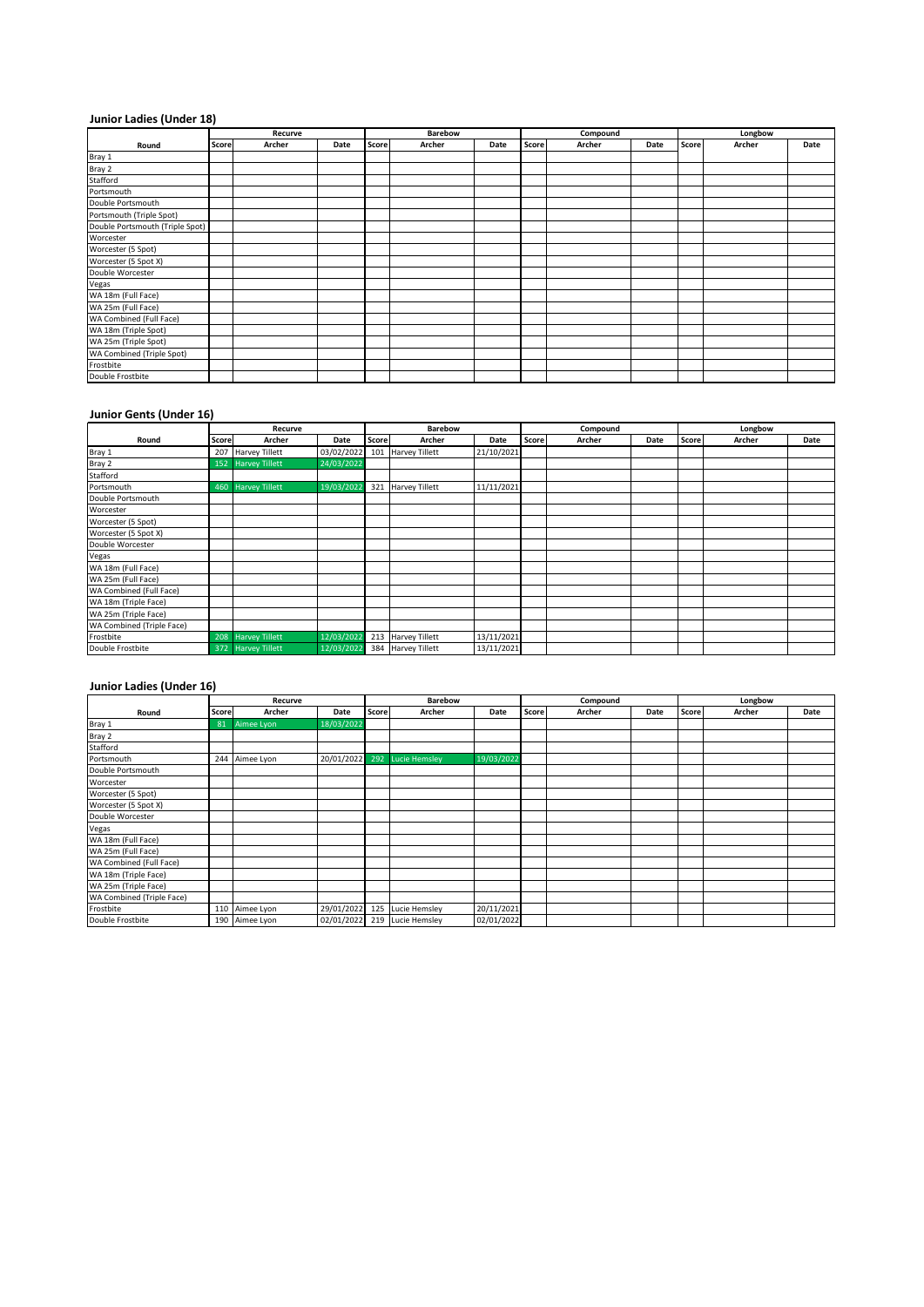# **Junior Ladies (Under 18)**

|                                  | Recurve |        |      |       | Barebow |      | Compound |        |      | Longbow |        |      |
|----------------------------------|---------|--------|------|-------|---------|------|----------|--------|------|---------|--------|------|
| Round                            | Score   | Archer | Date | Score | Archer  | Date | Score    | Archer | Date | Score   | Archer | Date |
| Bray 1                           |         |        |      |       |         |      |          |        |      |         |        |      |
| Bray 2                           |         |        |      |       |         |      |          |        |      |         |        |      |
| Stafford                         |         |        |      |       |         |      |          |        |      |         |        |      |
| Portsmouth                       |         |        |      |       |         |      |          |        |      |         |        |      |
| Double Portsmouth                |         |        |      |       |         |      |          |        |      |         |        |      |
| Portsmouth (Triple Spot)         |         |        |      |       |         |      |          |        |      |         |        |      |
| Double Portsmouth (Triple Spot)  |         |        |      |       |         |      |          |        |      |         |        |      |
| Worcester                        |         |        |      |       |         |      |          |        |      |         |        |      |
| Worcester (5 Spot)               |         |        |      |       |         |      |          |        |      |         |        |      |
| Worcester (5 Spot X)             |         |        |      |       |         |      |          |        |      |         |        |      |
| Double Worcester                 |         |        |      |       |         |      |          |        |      |         |        |      |
| Vegas                            |         |        |      |       |         |      |          |        |      |         |        |      |
| WA 18m (Full Face)               |         |        |      |       |         |      |          |        |      |         |        |      |
| WA 25m (Full Face)               |         |        |      |       |         |      |          |        |      |         |        |      |
| WA Combined (Full Face)          |         |        |      |       |         |      |          |        |      |         |        |      |
| WA 18m (Triple Spot)             |         |        |      |       |         |      |          |        |      |         |        |      |
| WA 25m (Triple Spot)             |         |        |      |       |         |      |          |        |      |         |        |      |
| <b>WA Combined (Triple Spot)</b> |         |        |      |       |         |      |          |        |      |         |        |      |
| Frostbite                        |         |        |      |       |         |      |          |        |      |         |        |      |
| Double Frostbite                 |         |        |      |       |         |      |          |        |      |         |        |      |

## **Junior Gents (Under 16)**

|                           | Recurve      |                       |            | <b>Barebow</b> |                       |            | Compound |        |      | Longbow |        |      |
|---------------------------|--------------|-----------------------|------------|----------------|-----------------------|------------|----------|--------|------|---------|--------|------|
| Round                     | <b>Score</b> | Archer                | Date       | Score I        | Archer                | Date       | Score    | Archer | Date | Score   | Archer | Date |
| Bray 1                    |              | 207 Harvey Tillett    | 03/02/2022 |                | 101 Harvey Tillett    | 21/10/2021 |          |        |      |         |        |      |
| Bray 2                    | 152          | <b>Harvey Tillett</b> | 24/03/2022 |                |                       |            |          |        |      |         |        |      |
| Stafford                  |              |                       |            |                |                       |            |          |        |      |         |        |      |
| Portsmouth                |              | 460 Harvey Tillett    | 19/03/2022 | 321            | <b>Harvey Tillett</b> | 11/11/2021 |          |        |      |         |        |      |
| Double Portsmouth         |              |                       |            |                |                       |            |          |        |      |         |        |      |
| Worcester                 |              |                       |            |                |                       |            |          |        |      |         |        |      |
| Worcester (5 Spot)        |              |                       |            |                |                       |            |          |        |      |         |        |      |
| Worcester (5 Spot X)      |              |                       |            |                |                       |            |          |        |      |         |        |      |
| Double Worcester          |              |                       |            |                |                       |            |          |        |      |         |        |      |
| Vegas                     |              |                       |            |                |                       |            |          |        |      |         |        |      |
| WA 18m (Full Face)        |              |                       |            |                |                       |            |          |        |      |         |        |      |
| WA 25m (Full Face)        |              |                       |            |                |                       |            |          |        |      |         |        |      |
| WA Combined (Full Face)   |              |                       |            |                |                       |            |          |        |      |         |        |      |
| WA 18m (Triple Face)      |              |                       |            |                |                       |            |          |        |      |         |        |      |
| WA 25m (Triple Face)      |              |                       |            |                |                       |            |          |        |      |         |        |      |
| WA Combined (Triple Face) |              |                       |            |                |                       |            |          |        |      |         |        |      |
| Frostbite                 |              | 208 Harvey Tillett    | 12/03/2022 |                | 213 Harvey Tillett    | 13/11/2021 |          |        |      |         |        |      |
| Double Frostbite          |              | 372 Harvey Tillett    | 12/03/2022 |                | 384 Harvey Tillett    | 13/11/2021 |          |        |      |         |        |      |

# **Junior Ladies (Under 16)**

|                                  | Recurve |                |            | <b>Barebow</b> |                              |            | Compound |        |      | Longbow |        |      |
|----------------------------------|---------|----------------|------------|----------------|------------------------------|------------|----------|--------|------|---------|--------|------|
| Round                            | Score   | Archer         | Date       | Score          | Archer                       | Date       | Score    | Archer | Date | Score   | Archer | Date |
| Bray 1                           | 81      | Aimee Lyon     | 18/03/2022 |                |                              |            |          |        |      |         |        |      |
| Bray 2                           |         |                |            |                |                              |            |          |        |      |         |        |      |
| Stafford                         |         |                |            |                |                              |            |          |        |      |         |        |      |
| Portsmouth                       | 244     | Aimee Lyon     |            |                | 20/01/2022 292 Lucie Hemsley | 19/03/2022 |          |        |      |         |        |      |
| Double Portsmouth                |         |                |            |                |                              |            |          |        |      |         |        |      |
| Worcester                        |         |                |            |                |                              |            |          |        |      |         |        |      |
| Worcester (5 Spot)               |         |                |            |                |                              |            |          |        |      |         |        |      |
| Worcester (5 Spot X)             |         |                |            |                |                              |            |          |        |      |         |        |      |
| Double Worcester                 |         |                |            |                |                              |            |          |        |      |         |        |      |
| Vegas                            |         |                |            |                |                              |            |          |        |      |         |        |      |
| WA 18m (Full Face)               |         |                |            |                |                              |            |          |        |      |         |        |      |
| WA 25m (Full Face)               |         |                |            |                |                              |            |          |        |      |         |        |      |
| WA Combined (Full Face)          |         |                |            |                |                              |            |          |        |      |         |        |      |
| WA 18m (Triple Face)             |         |                |            |                |                              |            |          |        |      |         |        |      |
| WA 25m (Triple Face)             |         |                |            |                |                              |            |          |        |      |         |        |      |
| <b>WA Combined (Triple Face)</b> |         |                |            |                |                              |            |          |        |      |         |        |      |
| Frostbite                        |         | 110 Aimee Lyon |            |                | 29/01/2022 125 Lucie Hemsley | 20/11/2021 |          |        |      |         |        |      |
| Double Frostbite                 |         | 190 Aimee Lyon |            |                | 02/01/2022 219 Lucie Hemsley | 02/01/2022 |          |        |      |         |        |      |